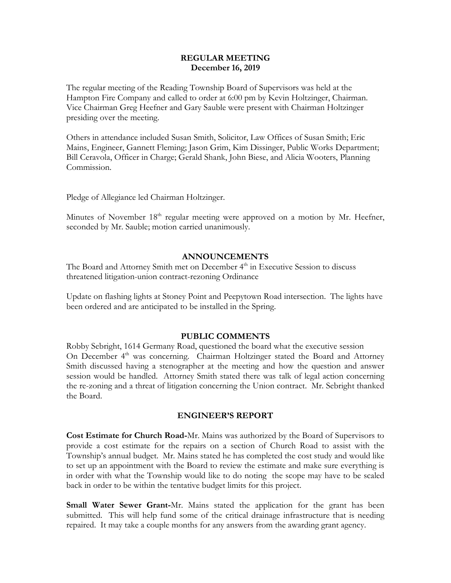### **REGULAR MEETING December 16, 2019**

The regular meeting of the Reading Township Board of Supervisors was held at the Hampton Fire Company and called to order at 6:00 pm by Kevin Holtzinger, Chairman. Vice Chairman Greg Heefner and Gary Sauble were present with Chairman Holtzinger presiding over the meeting.

Others in attendance included Susan Smith, Solicitor, Law Offices of Susan Smith; Eric Mains, Engineer, Gannett Fleming; Jason Grim, Kim Dissinger, Public Works Department; Bill Ceravola, Officer in Charge; Gerald Shank, John Biese, and Alicia Wooters, Planning Commission.

Pledge of Allegiance led Chairman Holtzinger.

Minutes of November 18<sup>th</sup> regular meeting were approved on a motion by Mr. Heefner, seconded by Mr. Sauble; motion carried unanimously.

### **ANNOUNCEMENTS**

The Board and Attorney Smith met on December 4<sup>th</sup> in Executive Session to discuss threatened litigation-union contract-rezoning Ordinance

Update on flashing lights at Stoney Point and Peepytown Road intersection. The lights have been ordered and are anticipated to be installed in the Spring.

### **PUBLIC COMMENTS**

Robby Sebright, 1614 Germany Road, questioned the board what the executive session On December 4<sup>th</sup> was concerning. Chairman Holtzinger stated the Board and Attorney Smith discussed having a stenographer at the meeting and how the question and answer session would be handled. Attorney Smith stated there was talk of legal action concerning the re-zoning and a threat of litigation concerning the Union contract. Mr. Sebright thanked the Board.

### **ENGINEER'S REPORT**

**Cost Estimate for Church Road-**Mr. Mains was authorized by the Board of Supervisors to provide a cost estimate for the repairs on a section of Church Road to assist with the Township's annual budget. Mr. Mains stated he has completed the cost study and would like to set up an appointment with the Board to review the estimate and make sure everything is in order with what the Township would like to do noting the scope may have to be scaled back in order to be within the tentative budget limits for this project.

**Small Water Sewer Grant-**Mr. Mains stated the application for the grant has been submitted. This will help fund some of the critical drainage infrastructure that is needing repaired. It may take a couple months for any answers from the awarding grant agency.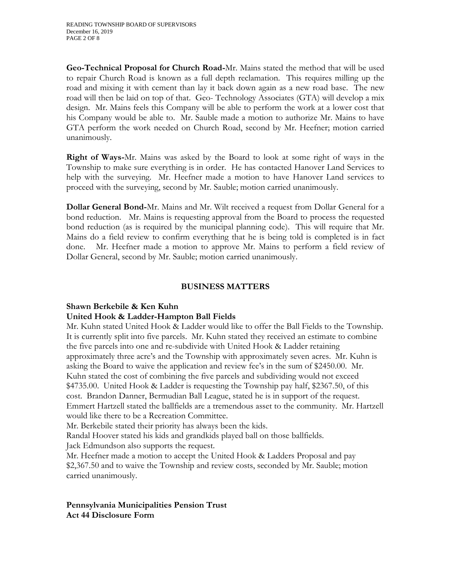**Geo-Technical Proposal for Church Road-**Mr. Mains stated the method that will be used to repair Church Road is known as a full depth reclamation. This requires milling up the road and mixing it with cement than lay it back down again as a new road base. The new road will then be laid on top of that. Geo- Technology Associates (GTA) will develop a mix design. Mr. Mains feels this Company will be able to perform the work at a lower cost that his Company would be able to. Mr. Sauble made a motion to authorize Mr. Mains to have GTA perform the work needed on Church Road, second by Mr. Heefner; motion carried unanimously.

**Right of Ways-**Mr. Mains was asked by the Board to look at some right of ways in the Township to make sure everything is in order. He has contacted Hanover Land Services to help with the surveying. Mr. Heefner made a motion to have Hanover Land services to proceed with the surveying, second by Mr. Sauble; motion carried unanimously.

**Dollar General Bond-**Mr. Mains and Mr. Wilt received a request from Dollar General for a bond reduction. Mr. Mains is requesting approval from the Board to process the requested bond reduction (as is required by the municipal planning code). This will require that Mr. Mains do a field review to confirm everything that he is being told is completed is in fact done. Mr. Heefner made a motion to approve Mr. Mains to perform a field review of Dollar General, second by Mr. Sauble; motion carried unanimously.

### **BUSINESS MATTERS**

# **Shawn Berkebile & Ken Kuhn**

### **United Hook & Ladder-Hampton Ball Fields**

Mr. Kuhn stated United Hook & Ladder would like to offer the Ball Fields to the Township. It is currently split into five parcels. Mr. Kuhn stated they received an estimate to combine the five parcels into one and re-subdivide with United Hook & Ladder retaining approximately three acre's and the Township with approximately seven acres. Mr. Kuhn is asking the Board to waive the application and review fee's in the sum of \$2450.00. Mr. Kuhn stated the cost of combining the five parcels and subdividing would not exceed \$4735.00. United Hook & Ladder is requesting the Township pay half, \$2367.50, of this cost. Brandon Danner, Bermudian Ball League, stated he is in support of the request. Emmert Hartzell stated the ballfields are a tremendous asset to the community. Mr. Hartzell would like there to be a Recreation Committee.

Mr. Berkebile stated their priority has always been the kids.

Randal Hoover stated his kids and grandkids played ball on those ballfields.

Jack Edmundson also supports the request.

Mr. Heefner made a motion to accept the United Hook & Ladders Proposal and pay \$2,367.50 and to waive the Township and review costs, seconded by Mr. Sauble; motion carried unanimously.

### **Pennsylvania Municipalities Pension Trust Act 44 Disclosure Form**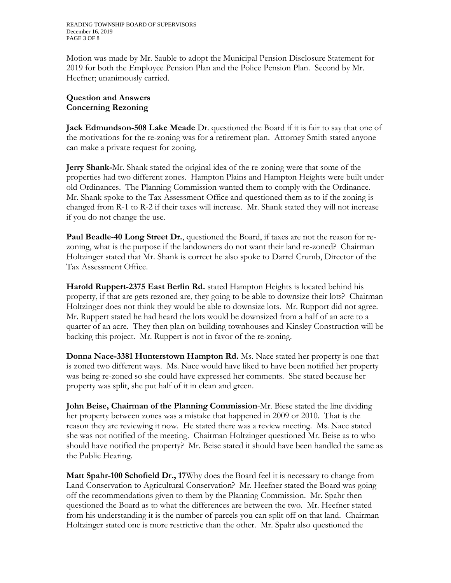Motion was made by Mr. Sauble to adopt the Municipal Pension Disclosure Statement for 2019 for both the Employee Pension Plan and the Police Pension Plan. Second by Mr. Heefner; unanimously carried.

### **Question and Answers Concerning Rezoning**

**Jack Edmundson-508 Lake Meade** Dr. questioned the Board if it is fair to say that one of the motivations for the re-zoning was for a retirement plan. Attorney Smith stated anyone can make a private request for zoning.

**Jerry Shank-**Mr. Shank stated the original idea of the re-zoning were that some of the properties had two different zones. Hampton Plains and Hampton Heights were built under old Ordinances. The Planning Commission wanted them to comply with the Ordinance. Mr. Shank spoke to the Tax Assessment Office and questioned them as to if the zoning is changed from R-1 to R-2 if their taxes will increase. Mr. Shank stated they will not increase if you do not change the use.

**Paul Beadle-40 Long Street Dr.**, questioned the Board, if taxes are not the reason for rezoning, what is the purpose if the landowners do not want their land re-zoned? Chairman Holtzinger stated that Mr. Shank is correct he also spoke to Darrel Crumb, Director of the Tax Assessment Office.

**Harold Ruppert-2375 East Berlin Rd.** stated Hampton Heights is located behind his property, if that are gets rezoned are, they going to be able to downsize their lots? Chairman Holtzinger does not think they would be able to downsize lots. Mr. Rupport did not agree. Mr. Ruppert stated he had heard the lots would be downsized from a half of an acre to a quarter of an acre. They then plan on building townhouses and Kinsley Construction will be backing this project. Mr. Ruppert is not in favor of the re-zoning.

**Donna Nace-3381 Hunterstown Hampton Rd.** Ms. Nace stated her property is one that is zoned two different ways. Ms. Nace would have liked to have been notified her property was being re-zoned so she could have expressed her comments. She stated because her property was split, she put half of it in clean and green.

**John Beise, Chairman of the Planning Commission**-Mr. Biese stated the line dividing her property between zones was a mistake that happened in 2009 or 2010. That is the reason they are reviewing it now. He stated there was a review meeting. Ms. Nace stated she was not notified of the meeting. Chairman Holtzinger questioned Mr. Beise as to who should have notified the property? Mr. Beise stated it should have been handled the same as the Public Hearing.

**Matt Spahr-100 Schofield Dr., 17**Why does the Board feel it is necessary to change from Land Conservation to Agricultural Conservation? Mr. Heefner stated the Board was going off the recommendations given to them by the Planning Commission. Mr. Spahr then questioned the Board as to what the differences are between the two. Mr. Heefner stated from his understanding it is the number of parcels you can split off on that land. Chairman Holtzinger stated one is more restrictive than the other. Mr. Spahr also questioned the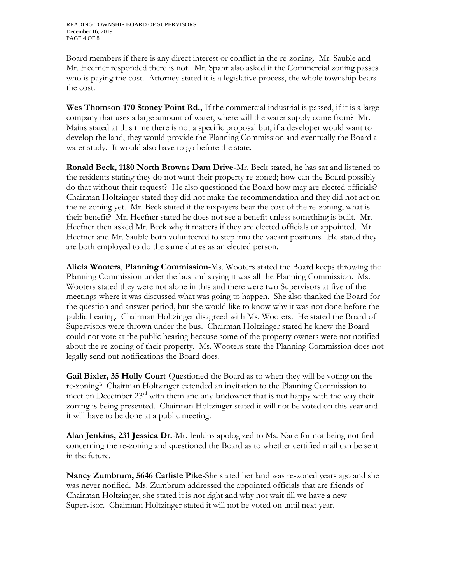Board members if there is any direct interest or conflict in the re-zoning. Mr. Sauble and Mr. Heefner responded there is not. Mr. Spahr also asked if the Commercial zoning passes who is paying the cost. Attorney stated it is a legislative process, the whole township bears the cost.

**Wes Thomson**-**170 Stoney Point Rd.,** If the commercial industrial is passed, if it is a large company that uses a large amount of water, where will the water supply come from? Mr. Mains stated at this time there is not a specific proposal but, if a developer would want to develop the land, they would provide the Planning Commission and eventually the Board a water study. It would also have to go before the state.

**Ronald Beck, 1180 North Browns Dam Drive-**Mr. Beck stated, he has sat and listened to the residents stating they do not want their property re-zoned; how can the Board possibly do that without their request? He also questioned the Board how may are elected officials? Chairman Holtzinger stated they did not make the recommendation and they did not act on the re-zoning yet. Mr. Beck stated if the taxpayers bear the cost of the re-zoning, what is their benefit? Mr. Heefner stated he does not see a benefit unless something is built. Mr. Heefner then asked Mr. Beck why it matters if they are elected officials or appointed. Mr. Heefner and Mr. Sauble both volunteered to step into the vacant positions. He stated they are both employed to do the same duties as an elected person.

**Alicia Wooters**, **Planning Commission**-Ms. Wooters stated the Board keeps throwing the Planning Commission under the bus and saying it was all the Planning Commission. Ms. Wooters stated they were not alone in this and there were two Supervisors at five of the meetings where it was discussed what was going to happen. She also thanked the Board for the question and answer period, but she would like to know why it was not done before the public hearing. Chairman Holtzinger disagreed with Ms. Wooters. He stated the Board of Supervisors were thrown under the bus. Chairman Holtzinger stated he knew the Board could not vote at the public hearing because some of the property owners were not notified about the re-zoning of their property. Ms. Wooters state the Planning Commission does not legally send out notifications the Board does.

**Gail Bixler, 35 Holly Court**-Questioned the Board as to when they will be voting on the re-zoning? Chairman Holtzinger extended an invitation to the Planning Commission to meet on December 23rd with them and any landowner that is not happy with the way their zoning is being presented. Chairman Holtzinger stated it will not be voted on this year and it will have to be done at a public meeting.

**Alan Jenkins, 231 Jessica Dr.**-Mr. Jenkins apologized to Ms. Nace for not being notified concerning the re-zoning and questioned the Board as to whether certified mail can be sent in the future.

**Nancy Zumbrum, 5646 Carlisle Pike**-She stated her land was re-zoned years ago and she was never notified. Ms. Zumbrum addressed the appointed officials that are friends of Chairman Holtzinger, she stated it is not right and why not wait till we have a new Supervisor. Chairman Holtzinger stated it will not be voted on until next year.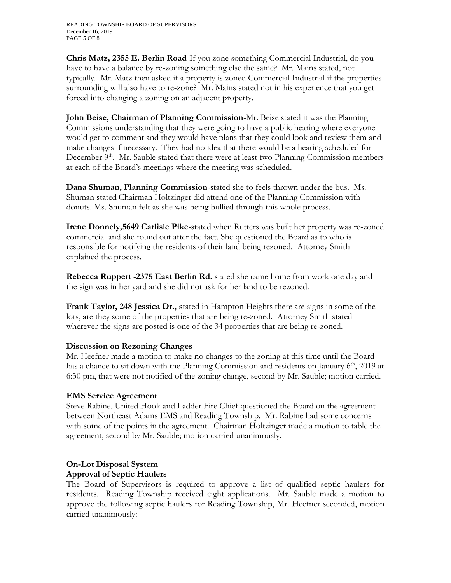**Chris Matz, 2355 E. Berlin Road**-If you zone something Commercial Industrial, do you have to have a balance by re-zoning something else the same? Mr. Mains stated, not typically. Mr. Matz then asked if a property is zoned Commercial Industrial if the properties surrounding will also have to re-zone? Mr. Mains stated not in his experience that you get forced into changing a zoning on an adjacent property.

**John Beise, Chairman of Planning Commission**-Mr. Beise stated it was the Planning Commissions understanding that they were going to have a public hearing where everyone would get to comment and they would have plans that they could look and review them and make changes if necessary. They had no idea that there would be a hearing scheduled for December  $9<sup>th</sup>$ . Mr. Sauble stated that there were at least two Planning Commission members at each of the Board's meetings where the meeting was scheduled.

**Dana Shuman, Planning Commission**-stated she to feels thrown under the bus. Ms. Shuman stated Chairman Holtzinger did attend one of the Planning Commission with donuts. Ms. Shuman felt as she was being bullied through this whole process.

**Irene Donnely,5649 Carlisle Pike**-stated when Rutters was built her property was re-zoned commercial and she found out after the fact. She questioned the Board as to who is responsible for notifying the residents of their land being rezoned. Attorney Smith explained the process.

**Rebecca Ruppert** -**2375 East Berlin Rd.** stated she came home from work one day and the sign was in her yard and she did not ask for her land to be rezoned.

**Frank Taylor, 248 Jessica Dr., s**tated in Hampton Heights there are signs in some of the lots, are they some of the properties that are being re-zoned. Attorney Smith stated wherever the signs are posted is one of the 34 properties that are being re-zoned.

## **Discussion on Rezoning Changes**

Mr. Heefner made a motion to make no changes to the zoning at this time until the Board has a chance to sit down with the Planning Commission and residents on January 6<sup>th</sup>, 2019 at 6:30 pm, that were not notified of the zoning change, second by Mr. Sauble; motion carried.

## **EMS Service Agreement**

Steve Rabine, United Hook and Ladder Fire Chief questioned the Board on the agreement between Northeast Adams EMS and Reading Township. Mr. Rabine had some concerns with some of the points in the agreement. Chairman Holtzinger made a motion to table the agreement, second by Mr. Sauble; motion carried unanimously.

## **On-Lot Disposal System Approval of Septic Haulers**

The Board of Supervisors is required to approve a list of qualified septic haulers for residents. Reading Township received eight applications. Mr. Sauble made a motion to approve the following septic haulers for Reading Township, Mr. Heefner seconded, motion carried unanimously: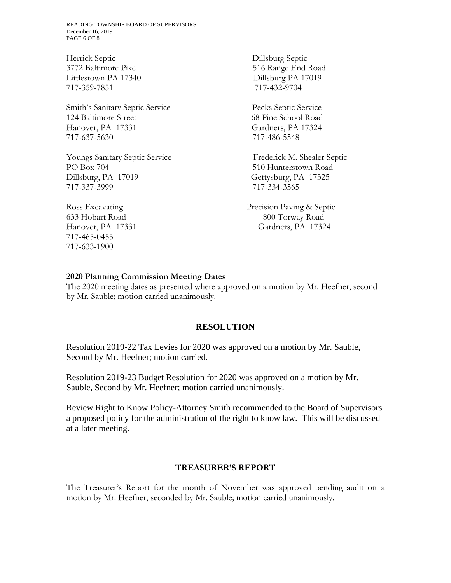READING TOWNSHIP BOARD OF SUPERVISORS December 16, 2019 PAGE 6 OF 8

Herrick Septic Dillsburg Septic 3772 Baltimore Pike 516 Range End Road Littlestown PA 17340 Dillsburg PA 17019 717-359-7851 717-432-9704

Smith's Sanitary Septic Service Pecks Septic Service 124 Baltimore Street 68 Pine School Road Hanover, PA 17331 Gardners, PA 17324 717-637-5630 717-486-5548

Youngs Sanitary Septic Service Frederick M. Shealer Septic PO Box 704 510 Hunterstown Road Dillsburg, PA 17019 Gettysburg, PA 17325 717-337-3999 717-334-3565

717-465-0455 717-633-1900

Ross Excavating Precision Paving & Septic 633 Hobart Road 800 Torway Road Hanover, PA 17331 Gardners, PA 17324

#### **2020 Planning Commission Meeting Dates**

The 2020 meeting dates as presented where approved on a motion by Mr. Heefner, second by Mr. Sauble; motion carried unanimously.

#### **RESOLUTION**

Resolution 2019-22 Tax Levies for 2020 was approved on a motion by Mr. Sauble, Second by Mr. Heefner; motion carried.

Resolution 2019-23 Budget Resolution for 2020 was approved on a motion by Mr. Sauble, Second by Mr. Heefner; motion carried unanimously.

Review Right to Know Policy-Attorney Smith recommended to the Board of Supervisors a proposed policy for the administration of the right to know law. This will be discussed at a later meeting.

### **TREASURER'S REPORT**

The Treasurer's Report for the month of November was approved pending audit on a motion by Mr. Heefner, seconded by Mr. Sauble; motion carried unanimously.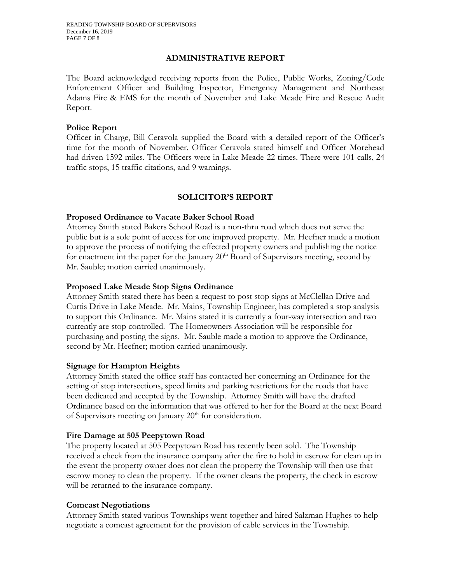### **ADMINISTRATIVE REPORT**

The Board acknowledged receiving reports from the Police, Public Works, Zoning/Code Enforcement Officer and Building Inspector, Emergency Management and Northeast Adams Fire & EMS for the month of November and Lake Meade Fire and Rescue Audit Report.

### **Police Report**

Officer in Charge, Bill Ceravola supplied the Board with a detailed report of the Officer's time for the month of November. Officer Ceravola stated himself and Officer Morehead had driven 1592 miles. The Officers were in Lake Meade 22 times. There were 101 calls, 24 traffic stops, 15 traffic citations, and 9 warnings.

## **SOLICITOR'S REPORT**

### **Proposed Ordinance to Vacate Baker School Road**

Attorney Smith stated Bakers School Road is a non-thru road which does not serve the public but is a sole point of access for one improved property. Mr. Heefner made a motion to approve the process of notifying the effected property owners and publishing the notice for enactment int the paper for the January  $20<sup>th</sup>$  Board of Supervisors meeting, second by Mr. Sauble; motion carried unanimously.

### **Proposed Lake Meade Stop Signs Ordinance**

Attorney Smith stated there has been a request to post stop signs at McClellan Drive and Curtis Drive in Lake Meade. Mr. Mains, Township Engineer, has completed a stop analysis to support this Ordinance. Mr. Mains stated it is currently a four-way intersection and two currently are stop controlled. The Homeowners Association will be responsible for purchasing and posting the signs. Mr. Sauble made a motion to approve the Ordinance, second by Mr. Heefner; motion carried unanimously.

### **Signage for Hampton Heights**

Attorney Smith stated the office staff has contacted her concerning an Ordinance for the setting of stop intersections, speed limits and parking restrictions for the roads that have been dedicated and accepted by the Township. Attorney Smith will have the drafted Ordinance based on the information that was offered to her for the Board at the next Board of Supervisors meeting on January  $20<sup>th</sup>$  for consideration.

### **Fire Damage at 505 Peepytown Road**

The property located at 505 Peepytown Road has recently been sold. The Township received a check from the insurance company after the fire to hold in escrow for clean up in the event the property owner does not clean the property the Township will then use that escrow money to clean the property. If the owner cleans the property, the check in escrow will be returned to the insurance company.

### **Comcast Negotiations**

Attorney Smith stated various Townships went together and hired Salzman Hughes to help negotiate a comcast agreement for the provision of cable services in the Township.